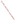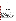## **THE ENVIRONMENTAL TECHNOLOGY VERIFICATION**





**Battelle** The Business of Innovation

# **ETV Joint Verification Statement**

|                                                        | <b>TECHNOLOGY TYPE:</b> Rapid Polymerase Chain Reaction      |                     |  |  |
|--------------------------------------------------------|--------------------------------------------------------------|---------------------|--|--|
| <b>APPLICATION:</b>                                    | DETECTING BIOLOGICAL AGENTS AND<br><b>PATHOGENS IN WATER</b> |                     |  |  |
| TECHNOLOGY NAME: PathAlert <sup>TM</sup> Detection Kit |                                                              |                     |  |  |
| <b>COMPANY:</b>                                        | <b>Invitrogen Corporation</b>                                |                     |  |  |
| <b>ADDRESS:</b>                                        | 7335 Executive Way                                           | PHONE: 240-379-4209 |  |  |
|                                                        | <b>Frederick, Maryland 21704</b>                             |                     |  |  |
| <b>WEB SITE:</b>                                       | www.invitrogen.com                                           |                     |  |  |
| $E\text{-}{M All$ :                                    | willem.folkerts@invitrogen.com                               |                     |  |  |

The U.S. Environmental Protection Agency (EPA) supports the Environmental Technology Verification (ETV) Program to facilitate the deployment of innovative or improved environmental technologies through performance verification and dissemination of information. The goal of the ETV Program is to further environmental protection by accelerating the acceptance and use of improved and cost-effective technologies. ETV seeks to achieve this goal by providing high-quality, peer-reviewed data on technology performance to those involved in the design, distribution, financing, permitting, purchase, and use of environmental technologies. Information and ETV documents are available at www.epa.gov/etv.

ETV works in partnership with recognized standards and testing organizations, with stakeholder groups (consisting of buyers, vendor organizations, and permitters), and with individual technology developers. The program evaluates the performance of innovative technologies by developing test plans that are responsive to the needs of stakeholders, conducting field or laboratory tests (as appropriate), collecting and analyzing data, and preparing peer-reviewed reports. All evaluations are conducted in accordance with rigorous quality assurance (QA) protocols to ensure that data of known and adequate quality are generated and that the results are defensible.

The Advanced Monitoring Systems (AMS) Center, one of six verification centers under ETV, is operated by Battelle in cooperation with EPA's National Exposure Research Laboratory. The AMS Center has recently evaluated the performance of rapid polymerase chain reaction (PCR) systems to detect biological agents and pathogens in water. This verification statement provides a summary of the test results for the Invitrogen Corporation's PathAlert™ Detection Kits for the detection of *Francisella tularensis* (*F. tularensis*), *Yersinia pestis*  (*Y. pestis*), and *Bacillus anthracis* (*B. anthracis*).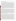#### **VERIFICATION TEST DESCRIPTION**

The PathAlert™ Detection Kits were evaluated between June 9 and June 30, 2004, using *F. tularensis* LVS [American Type Culture Collection (ATCC)# 29684], *Y. pestis* CO92, and *B. anthracis* Ames strain. The performance of each PathAlert™ Detection Kit was verified in terms of its accuracy, specificity, number of false positive/negative responses, precision, interferences, ease of use, and sample throughput. Performance test (PT) samples, drinking water (DW) samples, and quality control (QC) samples were used in the verification test for each bacteria. PT samples included individual bacteria spiked into American Society of Testing and Materials (ASTM) Type II deionized (DI) water at 2, 5, 10, and 50 times the vendor-stated method limit of detection (LOD), as well as the infective/lethal dose for each contaminant. PT samples also included potential interferent samples containing a single concentration (10 times the method LOD) of the contaminant of interest in the presence of fulvic and humic acids [at 0.5 milligram (mg)/liter (L) each and 2.5 mg/L each] spiked into ASTM Type II DI water. Interferent samples also were analyzed without the addition of any bacteria. DW samples consisted of chlorinated filtered surface water, chloraminated filtered surface water, chlorinated filtered groundwater, and chlorinated unfiltered surface water collected from four geographically distributed municipal sources. DW samples were analyzed without adding contaminant and after fortification with each individual bacteria at a single concentration level (10 times the vendor-stated method LOD). QC samples included method blank samples and positive (both internal and external) and negative controls, as supplied with each PathAlert™ Detection Kit. For all contaminants, plate enumerations were performed in triplicate to confirm the concentrations of the stock solutions of each bacteria prior to testing.

For the purposes of this test,  $1 \times 10^4$  colony forming units per milliliter (cfu/mL) were used to calculate the concentration levels of *F. tularensis* and *B. anthracis* spiked into the PT and DW samples; 100 cfu/mL were used to calculate levels of *Y. pestis* spiked in the PT and DW samples. These vendor-provided concentration levels were anticipated to be the levels for the entire experimental process at which quantifiably reproducible positive results could be obtained from a raw water sample. These concentration levels are referred to as the "method LOD" for a particular assay. The method LOD incorporates the sensitivities and uncertainties of not only the PathAlert™ Detection Kit, but also the deoxyribonucleic acid (DNA) purification step; and, as such, it is an experimental detection limit rather than an instrument or reagent-specific detection limit. As mentioned previously, the method LOD provided by the vendor was used specifically as a guideline in calculating sample concentration ranges for use with the PathAlert™ Detection Kit and all other components used in this verification test to analyze a sample, and it should be noted that Invitrogen Corporation does not claim this to be the true LOD of the PathAlert™ Detection Kit alone. The vendor claims the absolute LOD (the least amount of target DNA that would generate a positive result) for the PathAlert™ Detection Kit alone is as low as 1 to 10 copies of DNA, depending on the assay. This information was not verified in this test.

Samples were spiked with *F. tularensis* and *B. anthracis* at  $2\times10^4$  colony-forming units (cfu)/milliliter (mL),  $5\times10^4$  cfu/mL,  $1\times10^5$  cfu/mL, and  $5\times10^5$  cfu/mL for PT samples and  $1\times10^5$  cfu/mL for interferent and DW samples. Samples were spiked with *Y. pestis* at  $2\times10^2$  cfu/mL,  $5\times10^2$  cfu/mL,  $1\times10^3$  cfu/mL, and  $5\times10^3$  cfu/mL for PT samples and  $1\times10^3$  cfu/mL for interferent and DW samples. The infective/lethal dose of each contaminant was determined by calculating the concentration at which ingestion of 250 mL of water is likely to cause the death of a 70-kilogram person based on human LD<sub>50</sub> or ID<sub>50</sub> data. The infective/lethal doses for *F. tularensis*, *Y. pestis*, and *B. anthracis* were  $4\times10^5$  cfu/mL, 0.28 cfu/mL, and 200 cfu/mL, respectively. Samples were prepared in 1 mL quantities and tested blindly by trained Battelle operators who had prior PCR experience. To test a 1 mL liquid sample for the presence or absence of *F. tularensis, Y. pestis*, or *B. anthracis*, DNA was extracted and purified from the sample using the Roche High Pure PCR Template Preparation Kit, assays were prepared using the PathAlert™ Detection Kit reagents, PCR was performed using a MJ Research DNA Engine® (PTC-200™) Peltier Thermal Cycler, and the amplified products were analyzed using the Agilent 2100 Bioanalyzer instrument along with the 2100 Bioanalyzer DNA 500 chips and reagent kit and associated 2100 Bioanalyzer software. The kit was only tested for one bacteria at a time. All samples were analyzed in quadruplicate from the same batch of purified DNA. The PathAlert<sup>™</sup> Detection Kit was evaluated for qualitative results only by monitoring the internal positive control (IPC) along with the bacteria-specific peaks in the 2100 Bioanalyzer electropherogram output. Only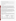positive, negative, and inconclusive results were recorded. Inconclusive results occurred when not all of the bacteria-specific peaks were present in the electropherogram.

QA oversight of verification testing was provided by Battelle and EPA. Battelle QA staff conducted a technical systems audit and a data quality audit of 10% of the test data. This verification statement, the full report on which it is based, and the test/QA plan for this verification are all available at www.epa.gov/etv/centers/center1.html.

## **TECHNOLOGY DESCRIPTION**

The following description of the PathAlert™ Detection Kit was provided by the vendor and was not subjected to verification in this test.

The PathAlert™ Detection Kit is a multiplex PCR reagent system capable of detecting *F. tularensis*, *Y. pestis*, *B. anthracis*, or smallpox in individual assays. The PathAlert™ Detection Kit comprises an optimized PCR SuperMix specific to the pathogen of interest, as well as an external positive control (EPC) template for system validation. The kit includes Taq polymerase, pre-complexed with antibodies to maintain "hot start" PCR (for specificity and sensitivity); uracil DNA glycosylase and deoxyuridane triphosphate to eliminate post-PCR cross-contamination; and an IPC to identify potential PCR inhibition from sample contaminants or environmental samples. Included in the kit is an EPC that has been engineered to produce different amplicon sizes than either the IPC or the pathogen-specific loci. As a result, pathogen-specific results can be read with minimal interference if contamination by the external control should occur.

The PathAlert™ Detection Kit is an endpoint assay; post-amplification products may be analyzed using any platform capable of distinguishing amplicon size, such as the Agilent Bioanalyzer 2100, Agilent ALP (high throughput), transgenomic WAVE high-performance liquid chromatography, gel electrophoresis, and Caliper AMS 90. The Agilent Bioanalyzer 2100 and ALP are recommended by Invitrogen Corporation for use with the PathAlert™ Detection Kit because all field testing to date has been performed with these systems, and Agilent and Invitrogen Corporation have established a co-marketing relationship for the complete system. The list price of each PathAlert™ Detection Kit assay is \$12 to \$16. Additional discounts based on volume and concept of operations are available through the vendor. PathAlert™ Detection Kits can perform up to 320 assays per kit.

## **VERIFICATION OF PERFORMANCE**

**Accuracy:** Accuracy was assessed by evaluating how often the PathAlert™ Detection Kit results were positive in the presence of a concentration of contaminant above the method LOD. Contaminant-only PT samples were used for this analysis. An overall percent agreement was determined by dividing the number of positive responses by the overall number of analyses of contaminant-only PT samples above the method LOD. The results are presented in the table below.

| <b>Bacteria</b>      | <b>Concentration Range of Samples</b><br><b>Used in Accuracy Calculations</b><br>(cfu/mL) | <b>Overall Accuracy</b><br>(Positive Results Out of Total Replicates) |
|----------------------|-------------------------------------------------------------------------------------------|-----------------------------------------------------------------------|
| <i>F. tularensis</i> | $2\times10^4$ to $5\times10^5$                                                            | 100% (20/20)                                                          |
| Y. pestis            | $2\times10^2$ to $5\times10^3$                                                            | $100\%$ (16/16)                                                       |
| <b>B.</b> anthracis  | $2\times10^4$ to $5\times10^5$                                                            | 100% (16/16)                                                          |

For *F. tularensis*, *Y. pestis*, and *B. anthracis*, all samples at concentration levels above the vendor-stated method LOD generated positive responses for each set of replicates, resulting in 100% agreement for the overall accuracy of the PathAlert™ Detection Kit for each bacteria. The infective/lethal doses for *Y. pestis* (0.28 cfu/mL) and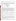*B. anthracis* (200 cfu/mL) were below the method LOD and not included in the accuracy calculations for those bacteria.

**Specificity:** The ability of the PathAlert™ Detection Kit to provide a negative response when the contaminant was absent was assessed. The specificity rate was determined by dividing the number of negative responses by the total number of unspiked samples. Unspiked interferent PT samples and unspiked DW samples were used to assess specificity. The results are presented in the table below. For *F. tularensis* and *Y. pestis*, one unspiked DW replicate for each bacteria produced an inconclusive response.

| <b>Bacteria</b>      | <b>Overall Specificity</b><br>(Negative Results Out of Total Replicates) |  |
|----------------------|--------------------------------------------------------------------------|--|
| <i>F. tularensis</i> | 96% (23/24)                                                              |  |
| Y. pestis            | 96% (23/24)                                                              |  |
| <b>B.</b> anthracis  | 100% (22/22)                                                             |  |

**False positive/negative responses:** A false positive response was defined as a detectable or positive PathAlert™ Detection Kit response when the interferent PT samples or DW samples were not spiked. The false positive rate was reported as the frequency of false positive results out of the total number of unspiked samples. The false negative response was defined as a negative response when the sample was spiked with a contaminant at a concentration greater than the method LOD. Spiked PT (contaminant and interferent) samples and spiked DW samples were included in the analysis. The false negative rate was reported as the frequency of false negative results out of the total number of spiked samples for a particular contaminant. The results are presented in the table below. No false positives or false negatives were found for any of the sample matrices for any bacteria. One replicate for unspiked DW in two different DW samples showed an inconclusive result for *F. tularensis* and one for *Y. pestis*. Two inconclusive results were reported (one for *F. tularensis* in one DW sample and one for *Y. pestis*  in a different DW sample).

| <b>Bacteria</b>      | <b>False Positive Rate</b> | <b>False Negative Rate</b> |
|----------------------|----------------------------|----------------------------|
| <i>F.</i> tularensis | 0/24                       | 0/60                       |
| Y. pestis            | 0/24                       | 0/56                       |
| <b>B.</b> anthracis  | 0/22                       | 0/56                       |

**Precision:** The precision of the PathAlert™ Detection Kit was assessed by calculating the overall percentage of consistent responses for all the sample sets. Responses were considered consistent if all responses of the four replicates were the same.

For *F. tularensis* replicates, 95% of the sample sets (20 out of 21) showed consistent results. Similarly, 95% of the sample sets (20 out of 21) showed consistent results for *Y. pestis*. For both bacteria, the inconsistency resulted from an inconclusive result for a DW replicate for each bacteria. As with *F. tularensis* and *Y. pestis*, 95% of the sample sets for *B. anthracis* (20 out of 21) showed consistent results among the replicates. For this bacteria, the one sample set with inconsistent results was the infective dose PT sample. In this set of replicates, three of the four samples had inconclusive results, while the fourth sample was positive for *B. anthracis*. The infective dose of *B. anthracis* was below the method LOD for this bacteria.

**Other performance factors:** A Battelle technician with prior PCR experience who was trained by the vendor operated the PathAlert™ Detection Kit. The kit was straightforward and easy to use. All components necessary for